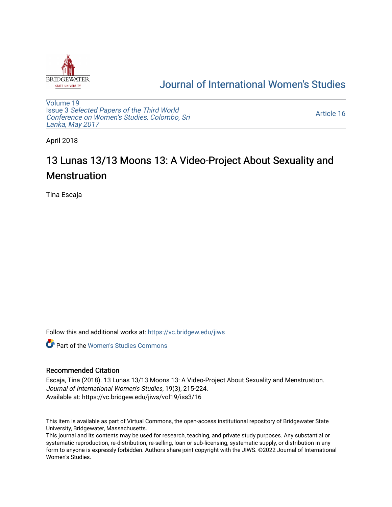

## [Journal of International Women's Studies](https://vc.bridgew.edu/jiws)

[Volume 19](https://vc.bridgew.edu/jiws/vol19) Issue 3 [Selected Papers of the Third World](https://vc.bridgew.edu/jiws/vol19/iss3) [Conference on Women's Studies, Colombo, Sri](https://vc.bridgew.edu/jiws/vol19/iss3)  [Lanka, May 2017](https://vc.bridgew.edu/jiws/vol19/iss3) 

[Article 16](https://vc.bridgew.edu/jiws/vol19/iss3/16) 

April 2018

# 13 Lunas 13/13 Moons 13: A Video-Project About Sexuality and Menstruation

Tina Escaja

Follow this and additional works at: [https://vc.bridgew.edu/jiws](https://vc.bridgew.edu/jiws?utm_source=vc.bridgew.edu%2Fjiws%2Fvol19%2Fiss3%2F16&utm_medium=PDF&utm_campaign=PDFCoverPages)

**C** Part of the Women's Studies Commons

#### Recommended Citation

Escaja, Tina (2018). 13 Lunas 13/13 Moons 13: A Video-Project About Sexuality and Menstruation. Journal of International Women's Studies, 19(3), 215-224. Available at: https://vc.bridgew.edu/jiws/vol19/iss3/16

This item is available as part of Virtual Commons, the open-access institutional repository of Bridgewater State University, Bridgewater, Massachusetts.

This journal and its contents may be used for research, teaching, and private study purposes. Any substantial or systematic reproduction, re-distribution, re-selling, loan or sub-licensing, systematic supply, or distribution in any form to anyone is expressly forbidden. Authors share joint copyright with the JIWS. ©2022 Journal of International Women's Studies.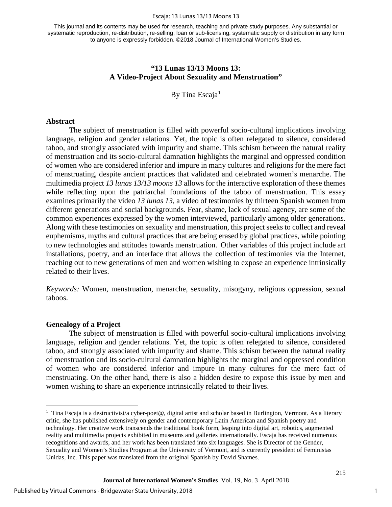#### Escaja: 13 Lunas 13/13 Moons 13

This journal and its contents may be used for research, teaching and private study purposes. Any substantial or systematic reproduction, re-distribution, re-selling, loan or sub-licensing, systematic supply or distribution in any form to anyone is expressly forbidden. ©2018 Journal of International Women's Studies.

#### **"13 Lunas 13/13 Moons 13: A Video-Project About Sexuality and Menstruation"**

By Tina Escaja $1$ 

#### **Abstract**

The subject of menstruation is filled with powerful socio-cultural implications involving language, religion and gender relations. Yet, the topic is often relegated to silence, considered taboo, and strongly associated with impurity and shame. This schism between the natural reality of menstruation and its socio-cultural damnation highlights the marginal and oppressed condition of women who are considered inferior and impure in many cultures and religions for the mere fact of menstruating, despite ancient practices that validated and celebrated women's menarche. The multimedia project *13 lunas 13/13 moons 13* allows for the interactive exploration of these themes while reflecting upon the patriarchal foundations of the taboo of menstruation. This essay examines primarily the video *13 lunas 13*, a video of testimonies by thirteen Spanish women from different generations and social backgrounds. Fear, shame, lack of sexual agency, are some of the common experiences expressed by the women interviewed, particularly among older generations. Along with these testimonies on sexuality and menstruation, this project seeks to collect and reveal euphemisms, myths and cultural practices that are being erased by global practices, while pointing to new technologies and attitudes towards menstruation. Other variables of this project include art installations, poetry, and an interface that allows the collection of testimonies via the Internet, reaching out to new generations of men and women wishing to expose an experience intrinsically related to their lives.

*Keywords:* Women, menstruation, menarche, sexuality, misogyny, religious oppression, sexual taboos.

#### **Genealogy of a Project**

l

The subject of menstruation is filled with powerful socio-cultural implications involving language, religion and gender relations. Yet, the topic is often relegated to silence, considered taboo, and strongly associated with impurity and shame. This schism between the natural reality of menstruation and its socio-cultural damnation highlights the marginal and oppressed condition of women who are considered inferior and impure in many cultures for the mere fact of menstruating. On the other hand, there is also a hidden desire to expose this issue by men and women wishing to share an experience intrinsically related to their lives.

<span id="page-1-0"></span><sup>&</sup>lt;sup>1</sup> Tina Escaja is a destructivist/a cyber-poet@, digital artist and scholar based in Burlington, Vermont. As a literary critic, she has published extensively on gender and contemporary Latin American and Spanish poetry and technology. Her creative work transcends the traditional book form, leaping into digital art, robotics, augmented reality and multimedia projects exhibited in museums and galleries internationally. Escaja has received numerous recognitions and awards, and her work has been translated into six languages. She is Director of the Gender, Sexuality and Women's Studies Program at the University of Vermont, and is currently president of Feministas Unidas, Inc. This paper was translated from the original Spanish by David Shames.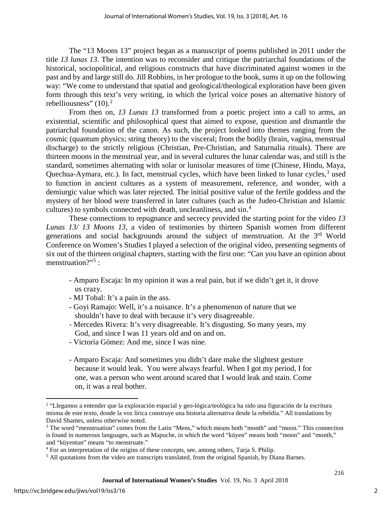The "13 Moons 13" project began as a manuscript of poems published in 2011 under the title *13 lunas 13*. The intention was to reconsider and critique the patriarchal foundations of the historical, sociopolitical, and religious constructs that have discriminated against women in the past and by and large still do. Jill Robbins, in her prologue to the book, sums it up on the following way: "We come to understand that spatial and geological/theological exploration have been given form through this text's very writing, in which the lyrical voice poses an alternative history of rebelliousness"  $(10)^2$  $(10)^2$ 

From then on, *13 Lunas 13* transformed from a poetic project into a call to arms, an existential, scientific and philosophical quest that aimed to expose, question and dismantle the patriarchal foundation of the canon. As such, the project looked into themes ranging from the cosmic (quantum physics; string theory) to the visceral; from the bodily (brain, vagina, menstrual discharge) to the strictly religious (Christian, Pre-Christian, and Saturnalia rituals). There are thirteen moons in the menstrual year, and in several cultures the lunar calendar was, and still is the standard, sometimes alternating with solar or lunisolar measures of time (Chinese, Hindu, Maya, Quechua-Aymara, etc.). In fact, menstrual cycles, which have been linked to lunar cycles,<sup>[3](#page-2-1)</sup> used to function in ancient cultures as a system of measurement, reference, and wonder, with a demiurgic value which was later rejected. The initial positive value of the fertile goddess and the mystery of her blood were transferred in later cultures (such as the Judeo-Christian and Islamic cultures) to symbols connected with death, uncleanliness, and sin.[4](#page-2-2)

These connections to repugnance and secrecy provided the starting point for the video *13 Lunas 13/ 13 Moons 13*, a video of testimonies by thirteen Spanish women from different generations and social backgrounds around the subject of menstruation. At the 3<sup>rd</sup> World Conference on Women's Studies I played a selection of the original video, presenting segments of six out of the thirteen original chapters, starting with the first one: "Can you have an opinion about menstruation?"<sup>[5](#page-2-3)</sup>:

- Amparo Escaja: In my opinion it was a real pain, but if we didn't get it, it drove us crazy.
- MJ Tobal: It's a pain in the ass.
- Goyi Ramajo: Well, it's a nuisance. It's a phenomenon of nature that we shouldn't have to deal with because it's very disagreeable.
- Mercedes Rivera: It's very disagreeable. It's disgusting. So many years, my God, and since I was 11 years old and on and on.
- Victoria Gómez: And me, since I was nine.
- Amparo Escaja: And sometimes you didn't dare make the slightest gesture because it would leak. You were always fearful. When I got my period, I for one, was a person who went around scared that I would leak and stain. Come on, it was a real bother.

l

<span id="page-2-0"></span><sup>2</sup> "Llegamos a entender que la exploración espacial y geo-lógica/teológica ha sido una figuración de la escritura misma de este texto, donde la voz lírica construye una historia alternativa desde la rebeldía." All translations by David Shames, unless otherwise noted.

<span id="page-2-1"></span><sup>3</sup> The word "menstruation" comes from the Latin "Mens," which means both "month" and "moon." This connection is found in numerous languages, such as Mapuche, in which the word "küyen" means both "moon" and "month," and "küyentun" means "to menstruate."

<span id="page-2-2"></span><sup>&</sup>lt;sup>4</sup> For an interpretation of the origins of these concepts, see, among others, Tarja S. Philip.

<span id="page-2-3"></span><sup>&</sup>lt;sup>5</sup> All quotations from the video are transcripts translated, from the original Spanish, by Diana Barnes.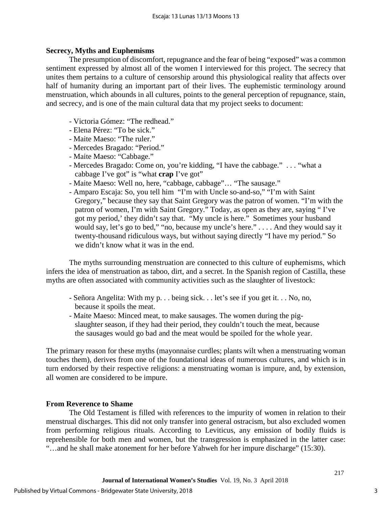### **Secrecy, Myths and Euphemisms**

The presumption of discomfort, repugnance and the fear of being "exposed" was a common sentiment expressed by almost all of the women I interviewed for this project. The secrecy that unites them pertains to a culture of censorship around this physiological reality that affects over half of humanity during an important part of their lives. The euphemistic terminology around menstruation, which abounds in all cultures, points to the general perception of repugnance, stain, and secrecy, and is one of the main cultural data that my project seeks to document:

- Victoria Gómez: "The redhead."
- Elena Pérez: "To be sick."
- Maite Maeso: "The ruler."
- Mercedes Bragado: "Period."
- Maite Maeso: "Cabbage."
- Mercedes Bragado: Come on, you're kidding, "I have the cabbage." . . . "what a cabbage I've got" is "what **crap** I've got"
- Maite Maeso: Well no, here, "cabbage, cabbage"… "The sausage."
- Amparo Escaja: So, you tell him "I'm with Uncle so-and-so," "I'm with Saint Gregory," because they say that Saint Gregory was the patron of women. "I'm with the patron of women, I'm with Saint Gregory." Today, as open as they are, saying " I've got my period,' they didn't say that. "My uncle is here." Sometimes your husband would say, let's go to bed," "no, because my uncle's here." . . . . And they would say it twenty-thousand ridiculous ways, but without saying directly "I have my period." So we didn't know what it was in the end.

The myths surrounding menstruation are connected to this culture of euphemisms, which infers the idea of menstruation as taboo, dirt, and a secret. In the Spanish region of Castilla, these myths are often associated with community activities such as the slaughter of livestock:

- Señora Angelita: With my p. . . being sick. . . let's see if you get it. . . No, no, because it spoils the meat.
- Maite Maeso: Minced meat, to make sausages. The women during the pigslaughter season, if they had their period, they couldn't touch the meat, because the sausages would go bad and the meat would be spoiled for the whole year.

The primary reason for these myths (mayonnaise curdles; plants wilt when a menstruating woman touches them), derives from one of the foundational ideas of numerous cultures, and which is in turn endorsed by their respective religions: a menstruating woman is impure, and, by extension, all women are considered to be impure.

### **From Reverence to Shame**

The Old Testament is filled with references to the impurity of women in relation to their menstrual discharges. This did not only transfer into general ostracism, but also excluded women from performing religious rituals. According to Leviticus, any emission of bodily fluids is reprehensible for both men and women, but the transgression is emphasized in the latter case: "…and he shall make atonement for her before Yahweh for her impure discharge" (15:30).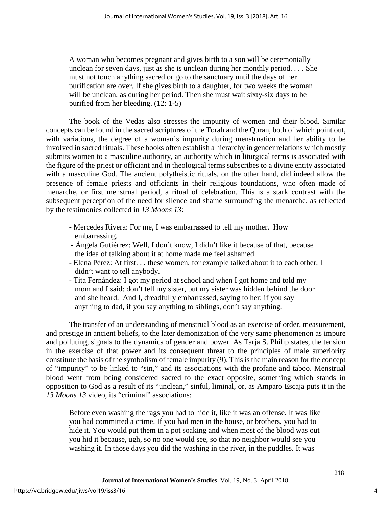A woman who becomes pregnant and gives birth to a son will be ceremonially unclean for seven days, just as she is unclean during her monthly period. . . . She must not touch anything sacred or go to the sanctuary until the days of her purification are over. If she gives birth to a daughter, for two weeks the woman will be unclean, as during her period. Then she must wait sixty-six days to be purified from her bleeding. (12: 1-5)

The book of the Vedas also stresses the impurity of women and their blood. Similar concepts can be found in the sacred scriptures of the Torah and the Quran, both of which point out, with variations, the degree of a woman's impurity during menstruation and her ability to be involved in sacred rituals. These books often establish a hierarchy in gender relations which mostly submits women to a masculine authority, an authority which in liturgical terms is associated with the figure of the priest or officiant and in theological terms subscribes to a divine entity associated with a masculine God. The ancient polytheistic rituals, on the other hand, did indeed allow the presence of female priests and officiants in their religious foundations, who often made of menarche, or first menstrual period, a ritual of celebration. This is a stark contrast with the subsequent perception of the need for silence and shame surrounding the menarche, as reflected by the testimonies collected in *13 Moons 13*:

- Mercedes Rivera: For me, I was embarrassed to tell my mother. How embarrassing.
- Ángela Gutiérrez: Well, I don't know, I didn't like it because of that, because the idea of talking about it at home made me feel ashamed.
- Elena Pérez: At first. . . these women, for example talked about it to each other. I didn't want to tell anybody.
- Tita Fernández: I got my period at school and when I got home and told my mom and I said: don't tell my sister, but my sister was hidden behind the door and she heard. And I, dreadfully embarrassed, saying to her: if you say anything to dad, if you say anything to siblings, don't say anything.

The transfer of an understanding of menstrual blood as an exercise of order, measurement, and prestige in ancient beliefs, to the later demonization of the very same phenomenon as impure and polluting, signals to the dynamics of gender and power. As Tarja S. Philip states, the tension in the exercise of that power and its consequent threat to the principles of male superiority constitute the basis of the symbolism of female impurity (9). This is the main reason for the concept of "impurity" to be linked to "sin," and its associations with the profane and taboo. Menstrual blood went from being considered sacred to the exact opposite, something which stands in opposition to God as a result of its "unclean," sinful, liminal, or, as Amparo Escaja puts it in the *13 Moons 13* video, its "criminal" associations:

Before even washing the rags you had to hide it, like it was an offense. It was like you had committed a crime. If you had men in the house, or brothers, you had to hide it. You would put them in a pot soaking and when most of the blood was out you hid it because, ugh, so no one would see, so that no neighbor would see you washing it. In those days you did the washing in the river, in the puddles. It was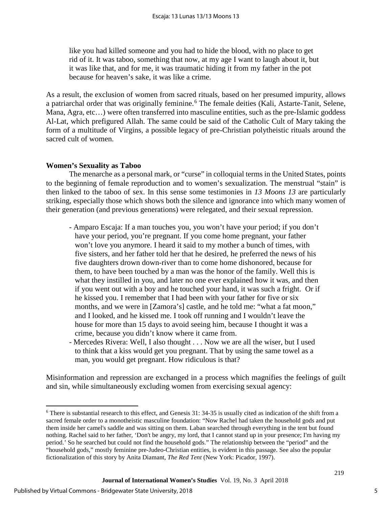like you had killed someone and you had to hide the blood, with no place to get rid of it. It was taboo, something that now, at my age I want to laugh about it, but it was like that, and for me, it was traumatic hiding it from my father in the pot because for heaven's sake, it was like a crime.

As a result, the exclusion of women from sacred rituals, based on her presumed impurity, allows a patriarchal order that was originally feminine.<sup>[6](#page-5-0)</sup> The female deities (Kali, Astarte-Tanit, Selene, Mana, Agra, etc…) were often transferred into masculine entities, such as the pre-Islamic goddess Al-Lat, which prefigured Allah. The same could be said of the Catholic Cult of Mary taking the form of a multitude of Virgins, a possible legacy of pre-Christian polytheistic rituals around the sacred cult of women.

## **Women's Sexuality as Taboo**

The menarche as a personal mark, or "curse" in colloquial terms in the United States, points to the beginning of female reproduction and to women's sexualization. The menstrual "stain" is then linked to the taboo of sex. In this sense some testimonies in *13 Moons 13* are particularly striking, especially those which shows both the silence and ignorance into which many women of their generation (and previous generations) were relegated, and their sexual repression.

- Amparo Escaja: If a man touches you, you won't have your period; if you don't have your period, you're pregnant. If you come home pregnant, your father won't love you anymore. I heard it said to my mother a bunch of times, with five sisters, and her father told her that he desired, he preferred the news of his five daughters drown down-river than to come home dishonored, because for them, to have been touched by a man was the honor of the family. Well this is what they instilled in you, and later no one ever explained how it was, and then if you went out with a boy and he touched your hand, it was such a fright. Or if he kissed you. I remember that I had been with your father for five or six months, and we were in [Zamora's] castle, and he told me: "what a fat moon," and I looked, and he kissed me. I took off running and I wouldn't leave the house for more than 15 days to avoid seeing him, because I thought it was a crime, because you didn't know where it came from.
- Mercedes Rivera: Well, I also thought . . . Now we are all the wiser, but I used to think that a kiss would get you pregnant. That by using the same towel as a man, you would get pregnant. How ridiculous is that?

Misinformation and repression are exchanged in a process which magnifies the feelings of guilt and sin, while simultaneously excluding women from exercising sexual agency:

l

<span id="page-5-0"></span> $6$  There is substantial research to this effect, and Genesis 31: 34-35 is usually cited as indication of the shift from a sacred female order to a monotheistic masculine foundation: "Now Rachel had taken the household gods and put them inside her camel's saddle and was sitting on them. Laban searched through everything in the tent but found nothing. Rachel said to her father, 'Don't be angry, my lord, that I cannot stand up in your presence; I'm having my period.' So he searched but could not find the household gods." The relationship between the "period" and the "household gods," mostly feminine pre-Judeo-Christian entities, is evident in this passage. See also the popular fictionalization of this story by Anita Diamant, *The Red Tent* (New York: Picador, 1997).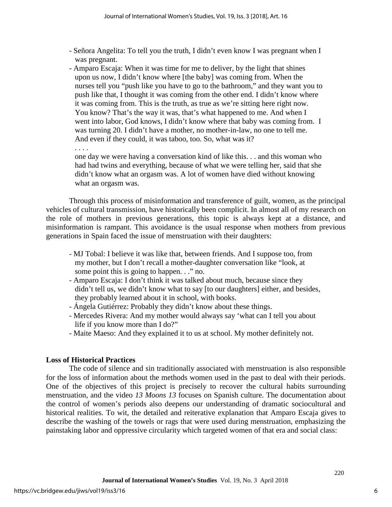- Señora Angelita: To tell you the truth, I didn't even know I was pregnant when I was pregnant.
- Amparo Escaja: When it was time for me to deliver, by the light that shines upon us now, I didn't know where [the baby] was coming from. When the nurses tell you "push like you have to go to the bathroom," and they want you to push like that, I thought it was coming from the other end. I didn't know where it was coming from. This is the truth, as true as we're sitting here right now. You know? That's the way it was, that's what happened to me. And when I went into labor, God knows, I didn't know where that baby was coming from. I was turning 20. I didn't have a mother, no mother-in-law, no one to tell me. And even if they could, it was taboo, too. So, what was it?

. . . .

one day we were having a conversation kind of like this. . . and this woman who had had twins and everything, because of what we were telling her, said that she didn't know what an orgasm was. A lot of women have died without knowing what an orgasm was.

Through this process of misinformation and transference of guilt, women, as the principal vehicles of cultural transmission, have historically been complicit. In almost all of my research on the role of mothers in previous generations, this topic is always kept at a distance, and misinformation is rampant. This avoidance is the usual response when mothers from previous generations in Spain faced the issue of menstruation with their daughters:

- MJ Tobal: I believe it was like that, between friends. And I suppose too, from my mother, but I don't recall a mother-daughter conversation like "look, at some point this is going to happen. . ." no.
- Amparo Escaja: I don't think it was talked about much, because since they didn't tell us, we didn't know what to say [to our daughters] either, and besides, they probably learned about it in school, with books.
- Ángela Gutiérrez: Probably they didn't know about these things.
- Mercedes Rivera: And my mother would always say 'what can I tell you about life if you know more than I do?"
- Maite Maeso: And they explained it to us at school. My mother definitely not.

### **Loss of Historical Practices**

The code of silence and sin traditionally associated with menstruation is also responsible for the loss of information about the methods women used in the past to deal with their periods. One of the objectives of this project is precisely to recover the cultural habits surrounding menstruation, and the video *13 Moons 13* focuses on Spanish culture. The documentation about the control of women's periods also deepens our understanding of dramatic sociocultural and historical realities. To wit, the detailed and reiterative explanation that Amparo Escaja gives to describe the washing of the towels or rags that were used during menstruation, emphasizing the painstaking labor and oppressive circularity which targeted women of that era and social class: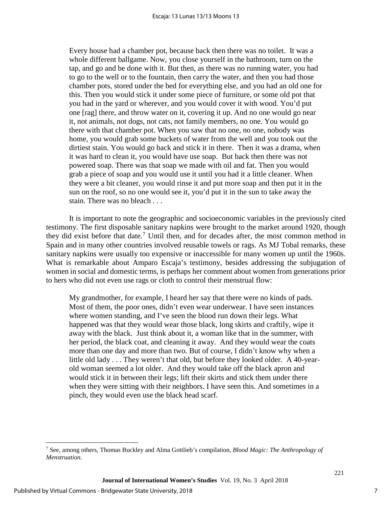Every house had a chamber pot, because back then there was no toilet. It was a whole different ballgame. Now, you close yourself in the bathroom, turn on the tap, and go and be done with it. But then, as there was no running water, you had to go to the well or to the fountain, then carry the water, and then you had those chamber pots, stored under the bed for everything else, and you had an old one for this. Then you would stick it under some piece of furniture, or some old pot that you had in the yard or wherever, and you would cover it with wood. You'd put one [rag] there, and throw water on it, covering it up. And no one would go near it, not animals, not dogs, not cats, not family members, no one. You would go there with that chamber pot. When you saw that no one, no one, nobody was home, you would grab some buckets of water from the well and you took out the dirtiest stain. You would go back and stick it in there. Then it was a drama, when it was hard to clean it, you would have use soap. But back then there was not powered soap. There was that soap we made with oil and fat. Then you would grab a piece of soap and you would use it until you had it a little cleaner. When they were a bit cleaner, you would rinse it and put more soap and then put it in the sun on the roof, so no one would see it, you'd put it in the sun to take away the stain. There was no bleach . . .

It is important to note the geographic and socioeconomic variables in the previously cited testimony. The first disposable sanitary napkins were brought to the market around 1920, though they did exist before that date.[7](#page-7-0) Until then, and for decades after, the most common method in Spain and in many other countries involved reusable towels or rags. As MJ Tobal remarks, these sanitary napkins were usually too expensive or inaccessible for many women up until the 1960s. What is remarkable about Amparo Escaja's testimony, besides addressing the subjugation of women in social and domestic terms, is perhaps her comment about women from generations prior to hers who did not even use rags or cloth to control their menstrual flow:

My grandmother, for example, I heard her say that there were no kinds of pads. Most of them, the poor ones, didn't even wear underwear. I have seen instances where women standing, and I've seen the blood run down their legs. What happened was that they would wear those black, long skirts and craftily, wipe it away with the black. Just think about it, a woman like that in the summer, with her period, the black coat, and cleaning it away. And they would wear the coats more than one day and more than two. But of course, I didn't know why when a little old lady . . . They weren't that old, but before they looked older. A 40-yearold woman seemed a lot older. And they would take off the black apron and would stick it in between their legs; lift their skirts and stick them under there when they were sitting with their neighbors. I have seen this. And sometimes in a pinch, they would even use the black head scarf.

l

7

<span id="page-7-0"></span><sup>7</sup> See, among others, Thomas Buckley and Alma Gottlieb's compilation, *Blood Magic: The Anthropology of Menstruation*.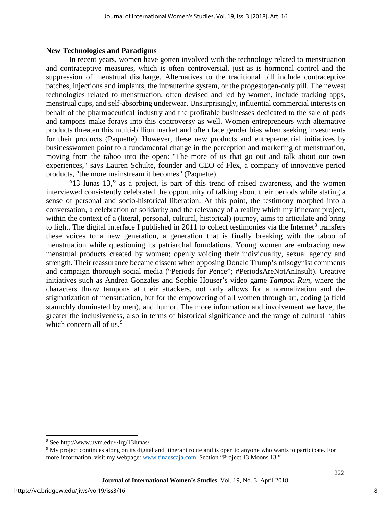#### **New Technologies and Paradigms**

In recent years, women have gotten involved with the technology related to menstruation and contraceptive measures, which is often controversial, just as is hormonal control and the suppression of menstrual discharge. Alternatives to the traditional pill include contraceptive patches, injections and implants, the intrauterine system, or the progestogen-only pill. The newest technologies related to menstruation, often devised and led by women, include tracking apps, menstrual cups, and self-absorbing underwear. Unsurprisingly, influential commercial interests on behalf of the pharmaceutical industry and the profitable businesses dedicated to the sale of pads and tampons make forays into this controversy as well. Women entrepreneurs with alternative products threaten this multi-billion market and often face gender bias when seeking investments for their products (Paquette). However, these new products and entrepreneurial initiatives by businesswomen point to a fundamental change in the perception and marketing of menstruation, moving from the taboo into the open: "The more of us that go out and talk about our own experiences," says Lauren Schulte, founder and CEO of Flex, a company of innovative period products, "the more mainstream it becomes" (Paquette).

"13 lunas 13," as a project, is part of this trend of raised awareness, and the women interviewed consistently celebrated the opportunity of talking about their periods while stating a sense of personal and socio-historical liberation. At this point, the testimony morphed into a conversation, a celebration of solidarity and the relevancy of a reality which my itinerant project, within the context of a (literal, personal, cultural, historical) journey, aims to articulate and bring to light. The digital interface I published in 2011 to collect testimonies via the Internet $8$  transfers these voices to a new generation, a generation that is finally breaking with the taboo of menstruation while questioning its patriarchal foundations. Young women are embracing new menstrual products created by women; openly voicing their individuality, sexual agency and strength. Their reassurance became dissent when opposing Donald Trump's misogynist comments and campaign thorough social media ("Periods for Pence"; #PeriodsAreNotAnInsult). Creative initiatives such as Andrea Gonzales and Sophie Houser's video game *Tampon Run*, where the characters throw tampons at their attackers, not only allows for a normalization and destigmatization of menstruation, but for the empowering of all women through art, coding (a field staunchly dominated by men), and humor. The more information and involvement we have, the greater the inclusiveness, also in terms of historical significance and the range of cultural habits which concern all of us.<sup>[9](#page-8-1)</sup>

l

<span id="page-8-0"></span><sup>8</sup> See http://www.uvm.edu/~lrg/13lunas/

<span id="page-8-1"></span><sup>9</sup> My project continues along on its digital and itinerant route and is open to anyone who wants to participate. For more information, visit my webpage: [www.tinaescaja.com,](http://www.tinaescaja.com/) Section "Project 13 Moons 13."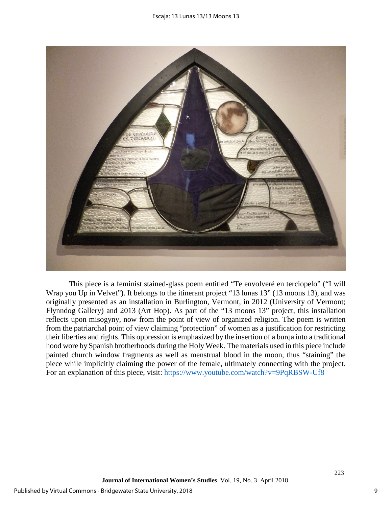

This piece is a feminist stained-glass poem entitled "Te envolveré en terciopelo" ("I will Wrap you Up in Velvet"). It belongs to the itinerant project "13 lunas 13" (13 moons 13), and was originally presented as an installation in Burlington, Vermont, in 2012 (University of Vermont; Flynndog Gallery) and 2013 (Art Hop). As part of the "13 moons 13" project, this installation reflects upon misogyny, now from the point of view of organized religion. The poem is written from the patriarchal point of view claiming "protection" of women as a justification for restricting their liberties and rights. This oppression is emphasized by the insertion of a burqa into a traditional hood wore by Spanish brotherhoods during the Holy Week. The materials used in this piece include painted church window fragments as well as menstrual blood in the moon, thus "staining" the piece while implicitly claiming the power of the female, ultimately connecting with the project. For an explanation of this piece, visit:<https://www.youtube.com/watch?v=9PqRBSW-Uf8>